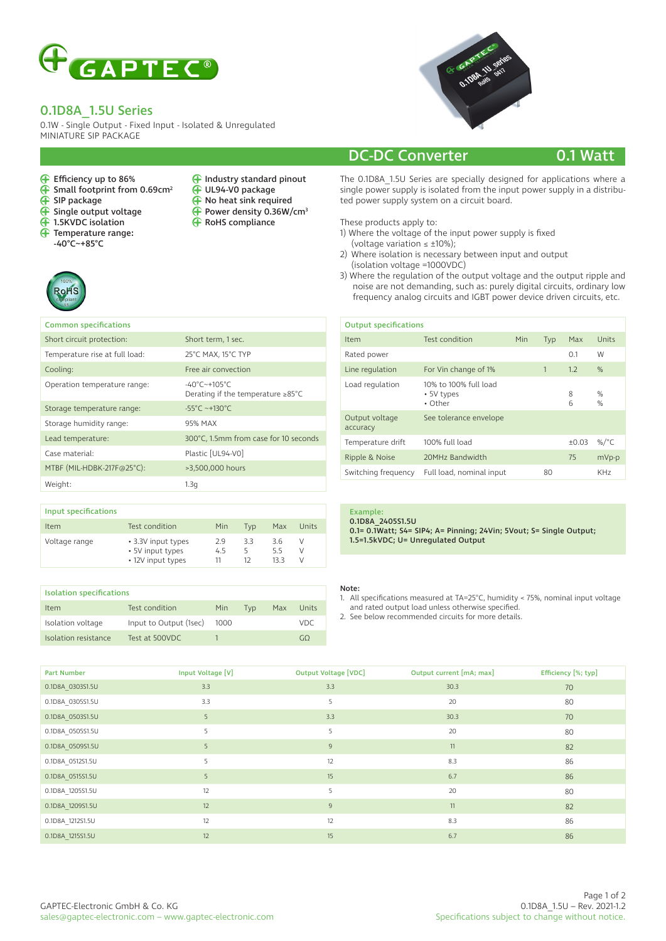

## 0.1D8A\_1.5U Series

Efficiency up to 86%  $\overline{\mathbf{F}}$  Small footprint from 0.69cm<sup>2</sup>

 $\overline{\mathbf{F}}$  Single output voltage 1.5KVDC isolation Temperature range: -40°C~+85°C

0.1W - Single Output - Fixed Input - Isolated & Unregulated MINIATURE SIP PACKAGE

> Industry standard pinout UL94-V0 package No heat sink required Power density 0.36W/cm3

**G** RoHS compliance

 $\check{\mathbf{\Theta}}$  $\tilde{\mathbf{\Theta}}$  $\tilde{\mathbf{\Theta}}$ 



## DC-DC Converter 0.1 Watt

The 0.1D8A\_1.5U Series are specially designed for applications where a single power supply is isolated from the input power supply in a distributed power supply system on a circuit board.

### These products apply to:

1) Where the voltage of the input power supply is fixed

- (voltage variation  $\leq \pm 10\%$ );
- 2) Where isolation is necessary between input and output (isolation voltage =1000VDC)
- 3) Where the regulation of the output voltage and the output ripple and noise are not demanding, such as: purely digital circuits, ordinary low frequency analog circuits and IGBT power device driven circuits, etc.

| <b>Output specifications</b> |                                                |  |     |         |                 |  |
|------------------------------|------------------------------------------------|--|-----|---------|-----------------|--|
| Item                         | Test condition<br>Min                          |  | Typ | Max     | Units           |  |
| Rated power                  |                                                |  |     | 0.1     | W               |  |
| Line regulation              | For Vin change of 1%                           |  | 1   | 1.2     | $\%$            |  |
| Load regulation              | 10% to 100% full load<br>• 5V types<br>• Other |  |     | 8<br>6  | %<br>$\%$       |  |
| Output voltage<br>accuracy   | See tolerance envelope                         |  |     |         |                 |  |
| Temperature drift            | 100% full load                                 |  |     | $+0.03$ | %/ $^{\circ}$ C |  |
| Ripple & Noise               | 20MHz Bandwidth                                |  |     | 75      | mVp-p           |  |
| Switching frequency          | Full load, nominal input                       |  | 80  |         | KH <sub>7</sub> |  |

 $\overline{f}$  SIP package

 $\tilde{\mathbf{P}}$ 

| <b>Common specifications</b>   |                                                                                      |
|--------------------------------|--------------------------------------------------------------------------------------|
| Short circuit protection:      | Short term, 1 sec.                                                                   |
| Temperature rise at full load: | 25°C MAX, 15°C TYP                                                                   |
| Cooling:                       | Free air convection                                                                  |
| Operation temperature range:   | $-40^{\circ}$ C $-+105^{\circ}$ C<br>Derating if the temperature $\geq 85^{\circ}$ C |
| Storage temperature range:     | $-55^{\circ}$ C ~+130°C                                                              |
| Storage humidity range:        | 95% MAX                                                                              |
| Lead temperature:              | 300°C, 1.5mm from case for 10 seconds                                                |
| Case material:                 | Plastic [UL94-V0]                                                                    |
| MTBF (MIL-HDBK-217F@25°C):     | >3,500,000 hours                                                                     |
| Weight:                        | 1.3a                                                                                 |
|                                |                                                                                      |

| Input specifications |                                                             |                 |               |                    |       |
|----------------------|-------------------------------------------------------------|-----------------|---------------|--------------------|-------|
| Item                 | Test condition                                              | Min             | Tvp           | Max                | Units |
| Voltage range        | • 3.3V input types<br>• 5V input types<br>• 12V input types | 29<br>4.5<br>11 | 33<br>5<br>12 | 3.6<br>5.5<br>13.3 | V     |

| <b>Isolation specifications</b> |                        |      |     |     |                                                 |  |
|---------------------------------|------------------------|------|-----|-----|-------------------------------------------------|--|
| <b>Item</b>                     | Test condition         | Min  | Tvp | Max | Units                                           |  |
| Isolation voltage               | Input to Output (1sec) | 1000 |     |     | VDC                                             |  |
| Isolation resistance            | Test at 500VDC         |      |     |     | $\left( \begin{array}{c} 1 \end{array} \right)$ |  |

## Example:

0.1D8A\_2405S1.5U 0.1= 0.1Watt; S4= SIP4; A= Pinning; 24Vin; 5Vout; S= Single Output; 1.5=1.5kVDC; U= Unregulated Output

### Note:

- 1. All specifications measured at TA=25°C, humidity < 75%, nominal input voltage and rated output load unless otherwise specified.
- 2. See below recommended circuits for more details.

| <b>Part Number</b> | Input Voltage [V] | <b>Output Voltage [VDC]</b> | Output current [mA; max] | Efficiency [%; typ] |
|--------------------|-------------------|-----------------------------|--------------------------|---------------------|
| 0.1D8A 0303S1.5U   | 3.3               | 3.3                         | 30.3                     | 70                  |
| 0.1D8A 0305S1.5U   | 3.3               | 5                           | 20                       | 80                  |
| 0.1D8A 0503S1.5U   | 5                 | 3.3                         | 30.3                     | 70                  |
| 0.1D8A 0505S1.5U   | 5                 | 5                           | 20                       | 80                  |
| 0.1D8A 0509S1.5U   | 5                 | $\overline{9}$              | 11                       | 82                  |
| 0.1D8A 0512S1.5U   | 5                 | 12                          | 8.3                      | 86                  |
| 0.1D8A 0515S1.5U   | 5                 | 15                          | 6.7                      | 86                  |
| 0.1D8A 1205S1.5U   | 12                | 5                           | 20                       | 80                  |
| 0.1D8A 1209S1.5U   | 12                | 9                           | 11                       | 82                  |
| 0.1D8A_1212S1.5U   | 12                | 12                          | 8.3                      | 86                  |
| 0.1D8A 1215S1.5U   | 12                | 15                          | 6.7                      | 86                  |